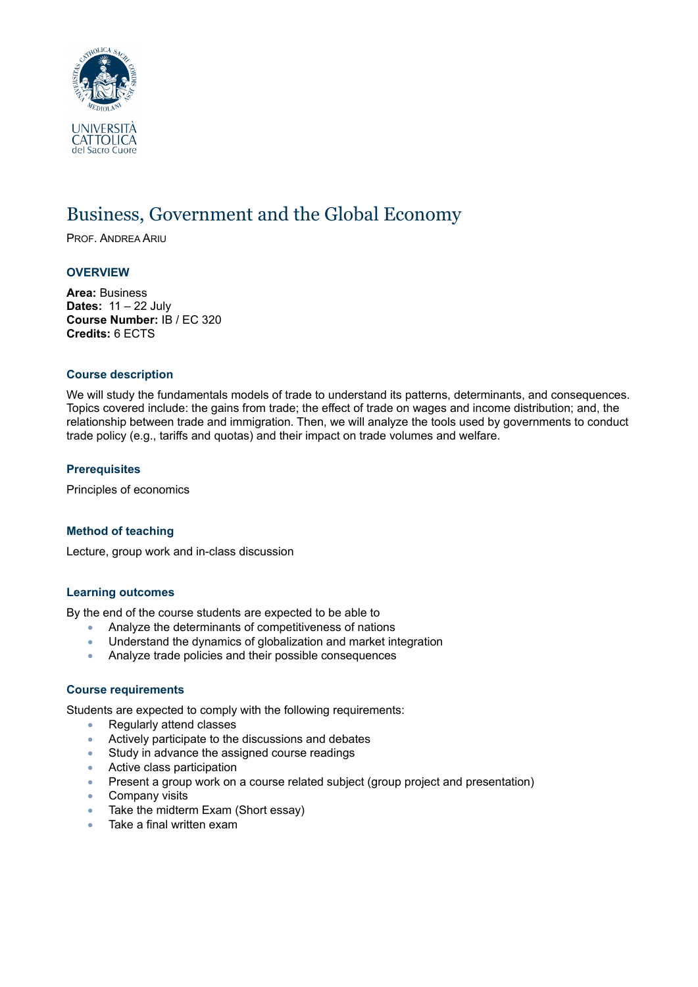

# Business, Government and the Global Economy

PROF. ANDREA ARIU

## **OVERVIEW**

**Area:** Business **Dates:** 11 – 22 July **Course Number:** IB / EC 320 **Credits:** 6 ECTS

#### **Course description**

We will study the fundamentals models of trade to understand its patterns, determinants, and consequences. Topics covered include: the gains from trade; the effect of trade on wages and income distribution; and, the relationship between trade and immigration. Then, we will analyze the tools used by governments to conduct trade policy (e.g., tariffs and quotas) and their impact on trade volumes and welfare.

## **Prerequisites**

Principles of economics

#### **Method of teaching**

Lecture, group work and in-class discussion

#### **Learning outcomes**

By the end of the course students are expected to be able to

- Analyze the determinants of competitiveness of nations
- Understand the dynamics of globalization and market integration
- Analyze trade policies and their possible consequences

#### **Course requirements**

Students are expected to comply with the following requirements:

- Regularly attend classes
- Actively participate to the discussions and debates
- Study in advance the assigned course readings
- Active class participation
- Present a group work on a course related subject (group project and presentation)
- Company visits
- Take the midterm Exam (Short essay)
- Take a final written exam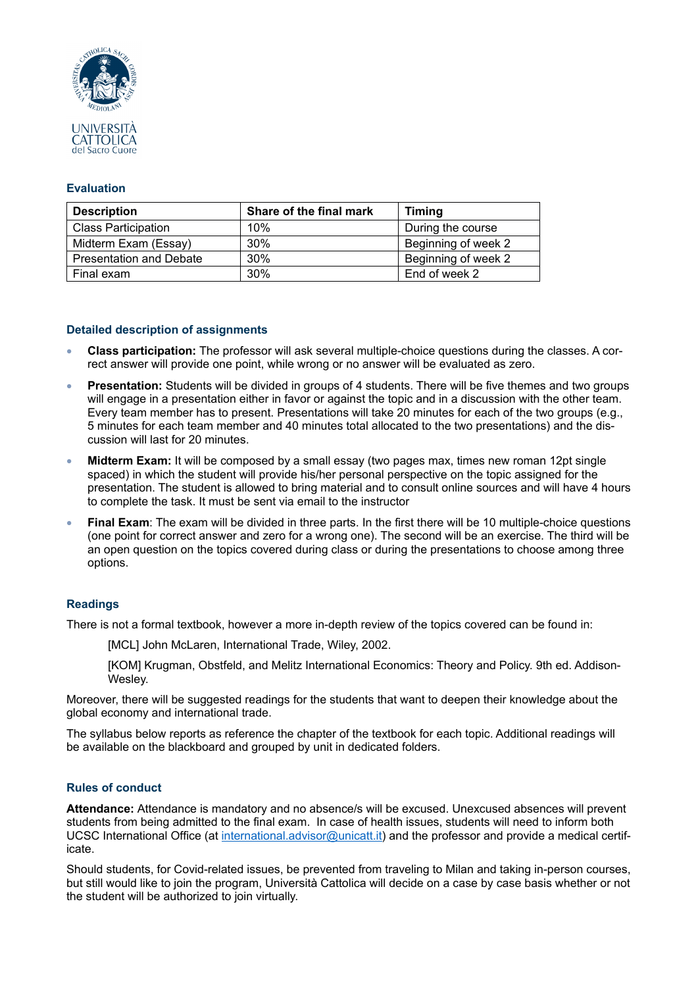

## **Evaluation**

| <b>Description</b>             | Share of the final mark | <b>Timing</b>       |
|--------------------------------|-------------------------|---------------------|
| <b>Class Participation</b>     | 10%                     | During the course   |
| Midterm Exam (Essay)           | 30%                     | Beginning of week 2 |
| <b>Presentation and Debate</b> | 30%                     | Beginning of week 2 |
| Final exam                     | 30%                     | End of week 2       |

## **Detailed description of assignments**

- **Class participation:** The professor will ask several multiple-choice questions during the classes. A correct answer will provide one point, while wrong or no answer will be evaluated as zero.
- **Presentation:** Students will be divided in groups of 4 students. There will be five themes and two groups will engage in a presentation either in favor or against the topic and in a discussion with the other team. Every team member has to present. Presentations will take 20 minutes for each of the two groups (e.g., 5 minutes for each team member and 40 minutes total allocated to the two presentations) and the discussion will last for 20 minutes.
- **Midterm Exam:** It will be composed by a small essay (two pages max, times new roman 12pt single spaced) in which the student will provide his/her personal perspective on the topic assigned for the presentation. The student is allowed to bring material and to consult online sources and will have 4 hours to complete the task. It must be sent via email to the instructor
- **Final Exam**: The exam will be divided in three parts. In the first there will be 10 multiple-choice questions (one point for correct answer and zero for a wrong one). The second will be an exercise. The third will be an open question on the topics covered during class or during the presentations to choose among three options.

## **Readings**

There is not a formal textbook, however a more in-depth review of the topics covered can be found in:

[MCL] John McLaren, International Trade, Wiley, 2002.

[KOM] Krugman, Obstfeld, and Melitz International Economics: Theory and Policy. 9th ed. Addison-Wesley.

Moreover, there will be suggested readings for the students that want to deepen their knowledge about the global economy and international trade.

The syllabus below reports as reference the chapter of the textbook for each topic. Additional readings will be available on the blackboard and grouped by unit in dedicated folders.

## **Rules of conduct**

**Attendance:** Attendance is mandatory and no absence/s will be excused. Unexcused absences will prevent students from being admitted to the final exam. In case of health issues, students will need to inform both UCSC International Office (at [international.advisor@unicatt.it\)](mailto:international.advisor@unicatt.it) and the professor and provide a medical certificate.

Should students, for Covid-related issues, be prevented from traveling to Milan and taking in-person courses, but still would like to join the program, Università Cattolica will decide on a case by case basis whether or not the student will be authorized to join virtually.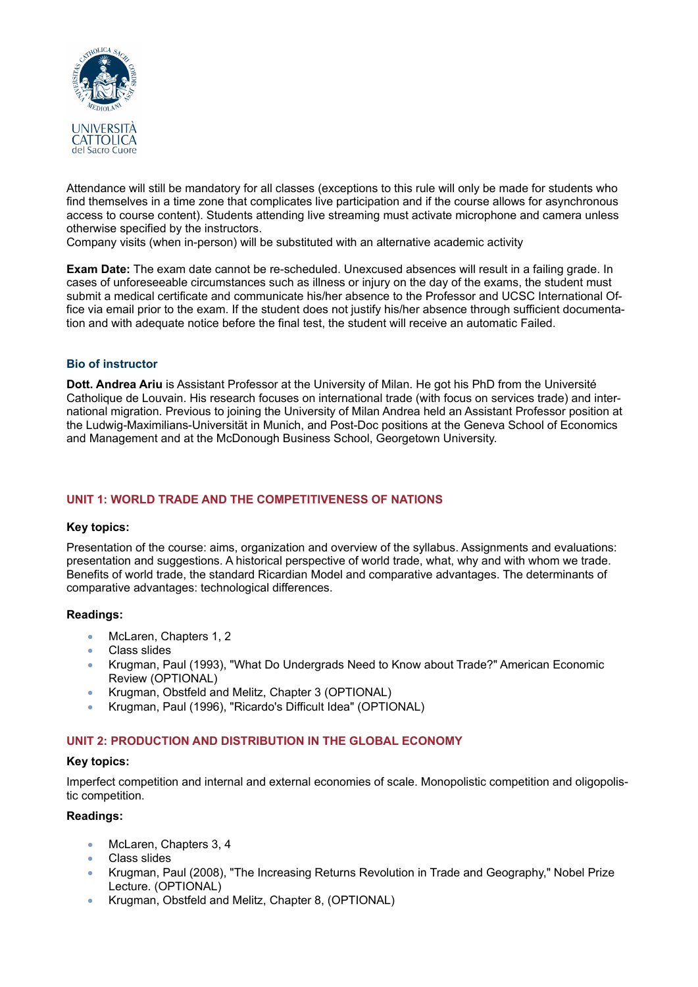

Attendance will still be mandatory for all classes (exceptions to this rule will only be made for students who find themselves in a time zone that complicates live participation and if the course allows for asynchronous access to course content). Students attending live streaming must activate microphone and camera unless otherwise specified by the instructors.

Company visits (when in-person) will be substituted with an alternative academic activity

**Exam Date:** The exam date cannot be re-scheduled. Unexcused absences will result in a failing grade. In cases of unforeseeable circumstances such as illness or injury on the day of the exams, the student must submit a medical certificate and communicate his/her absence to the Professor and UCSC International Office via email prior to the exam. If the student does not justify his/her absence through sufficient documentation and with adequate notice before the final test, the student will receive an automatic Failed.

## **Bio of instructor**

**Dott. Andrea Ariu** is Assistant Professor at the University of Milan. He got his PhD from the Université Catholique de Louvain. His research focuses on international trade (with focus on services trade) and international migration. Previous to joining the University of Milan Andrea held an Assistant Professor position at the Ludwig-Maximilians-Universität in Munich, and Post-Doc positions at the Geneva School of Economics and Management and at the McDonough Business School, Georgetown University.

## **UNIT 1: WORLD TRADE AND THE COMPETITIVENESS OF NATIONS**

#### **Key topics:**

Presentation of the course: aims, organization and overview of the syllabus. Assignments and evaluations: presentation and suggestions. A historical perspective of world trade, what, why and with whom we trade. Benefits of world trade, the standard Ricardian Model and comparative advantages. The determinants of comparative advantages: technological differences.

#### **Readings:**

- McLaren, Chapters 1, 2
- Class slides
- Krugman, Paul (1993), "What Do Undergrads Need to Know about Trade?" American Economic Review (OPTIONAL)
- Krugman, Obstfeld and Melitz, Chapter 3 (OPTIONAL)
- Krugman, Paul (1996), "Ricardo's Difficult Idea" (OPTIONAL)

## **UNIT 2: PRODUCTION AND DISTRIBUTION IN THE GLOBAL ECONOMY**

#### **Key topics:**

Imperfect competition and internal and external economies of scale. Monopolistic competition and oligopolistic competition.

#### **Readings:**

- McLaren, Chapters 3, 4
- Class slides
- Krugman, Paul (2008), "The Increasing Returns Revolution in Trade and Geography," Nobel Prize Lecture. (OPTIONAL)
- Krugman, Obstfeld and Melitz, Chapter 8, (OPTIONAL)